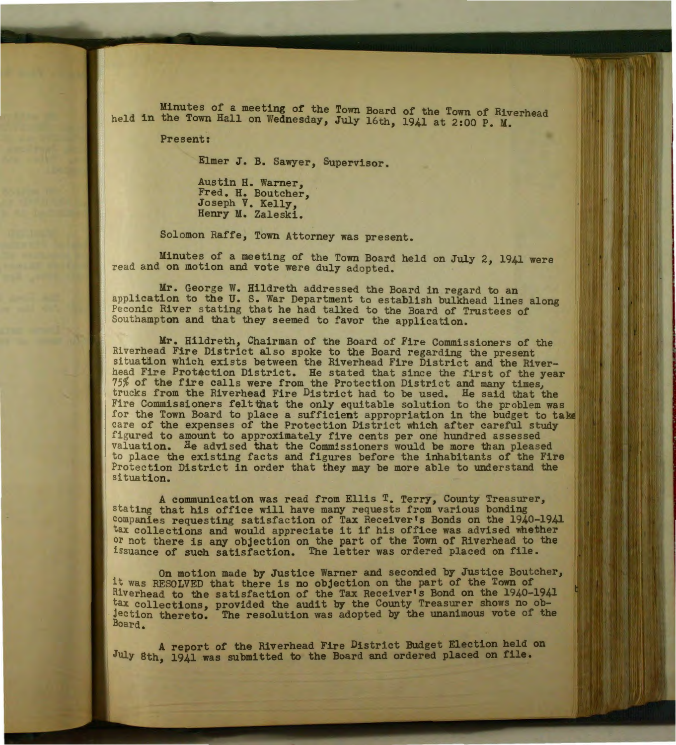Minutes of a meeting of the Town Board of the Town of Riverhead held in the Town Hall on Wednesday, July 16th, 1941 at 2:00 P. M.

Present:

Elmer J. B. Sawyer, Supervisor.

Austin H. Warner, Fred. H. Boutcher, Joseph V. Kelly, Henry M. Zaleski.

Solomon Raffe, Town Attorney was present.

Minutes of a meeting of the Town Board held on July 2, 1941 were read and on motion and vote were duly adopted.

Mr. George W. Hildreth addressed the Board in regard to an application to the U. S. War Department to establish bulkhead lines along Peconic River stating that he had talked to the Board of Trustees of Southampton and that they seemed to favor the application.

Mr. Hildreth, Chairman of the Board of Fire Commissioners of the Riverhead Fire District also spoke to the Board regarding the present situation which exists between the Riverhead Fire District and the Riverhead Fire Protection District. He stated that since the first of the year 75% of the fire calls were from the Protection District and many times, trucks from the Riverhead Fire District had to be used. He said that the Fire Commissioners feltthat the only equitable solution to the problem was for the Town Board to place a sufficient appropriation in the budget to take care of the expenses of the Protection District which after careful study figured to amount to approximately five cents per one hundred assessed valua tion. He advised that the Commissioners would be more than pleased to place the existing facts and figures before the inhabitants of the Fire Protec tion District in order that they may be more able to understand the situation.

A communication was read from Ellis T. Terry, County Treasurer, stating that his office will have many requests from various bonding companies requesting satisfaction of Tax Receiver's Bonds on the 1940-1941 tax collections and would appreciate it if his office was advised whether tax collections and would appreciate it if his office was advised whether<br>or not there is any objection on the part of the Town of Riverhead to the issuance of such satisfaction. The letter was ordered placed on file.

On motion made by Justice Warner and seconded by Justice Boutcher, it was RESOLVED that there is no objection on the part of the Town of Riverhead to the satisfaction of the Tax Receiver's Bond on the 1940-1941 tax collections, provided the audit by the County Treasurer shows no objec tion thereto: The resolution was adopted by the unanimous vote of the Board.

A report of the Riverhead Fire District Budget Election held on July 8th, 1941 was submitted to the Board and ordered placed on file.